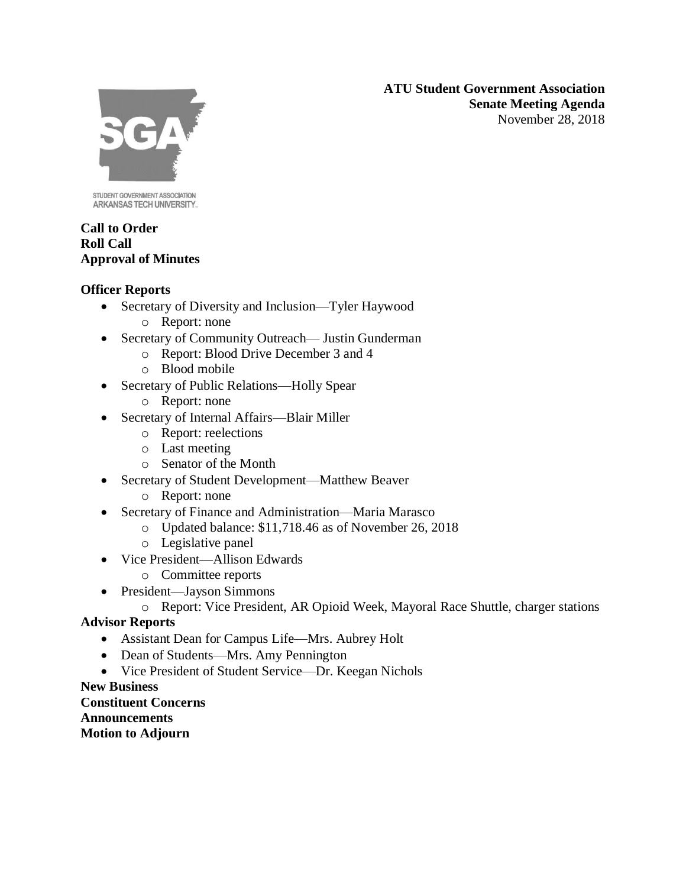**ATU Student Government Association Senate Meeting Agenda** November 28, 2018



STUDENT GOVERNMENT ASSOCIATION ARKANSAS TECH UNIVERSITY.

### **Call to Order Roll Call Approval of Minutes**

## **Officer Reports**

- Secretary of Diversity and Inclusion—Tyler Haywood
	- o Report: none
- Secretary of Community Outreach— Justin Gunderman
	- o Report: Blood Drive December 3 and 4
	- o Blood mobile
- Secretary of Public Relations—Holly Spear
	- o Report: none
- Secretary of Internal Affairs—Blair Miller
	- o Report: reelections
	- o Last meeting
	- o Senator of the Month
- Secretary of Student Development—Matthew Beaver
	- o Report: none
- Secretary of Finance and Administration—Maria Marasco
	- o Updated balance: \$11,718.46 as of November 26, 2018
	- o Legislative panel
- Vice President—Allison Edwards
	- o Committee reports
- President—Jayson Simmons
	- o Report: Vice President, AR Opioid Week, Mayoral Race Shuttle, charger stations

# **Advisor Reports**

- Assistant Dean for Campus Life—Mrs. Aubrey Holt
- Dean of Students—Mrs. Amy Pennington
- Vice President of Student Service—Dr. Keegan Nichols

## **New Business**

**Constituent Concerns Announcements Motion to Adjourn**